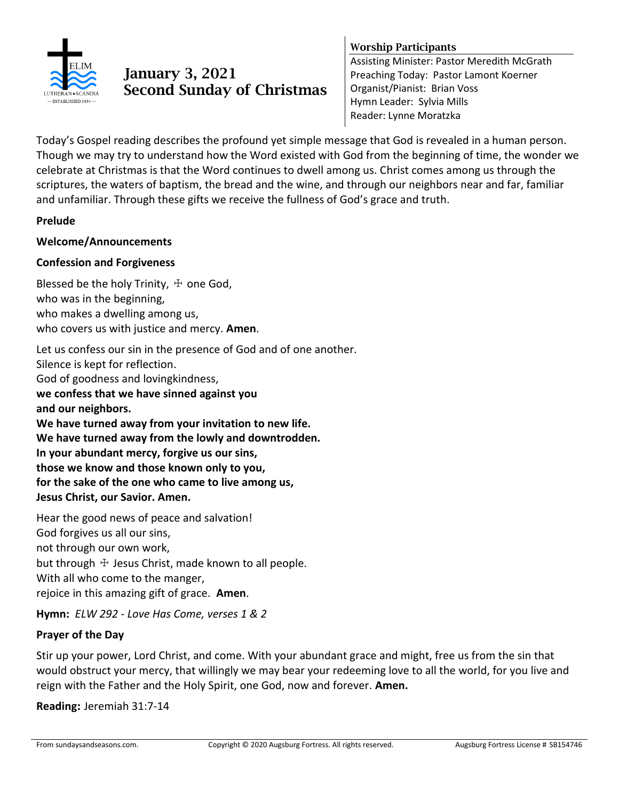

# **January 3, 2021 Second Sunday of Christmas**

## **Worship Participants**

Assisting Minister: Pastor Meredith McGrath Preaching Today: Pastor Lamont Koerner Organist/Pianist: Brian Voss Hymn Leader: Sylvia Mills Reader: Lynne Moratzka

Today's Gospel reading describes the profound yet simple message that God is revealed in a human person. Though we may try to understand how the Word existed with God from the beginning of time, the wonder we celebrate at Christmas is that the Word continues to dwell among us. Christ comes among us through the scriptures, the waters of baptism, the bread and the wine, and through our neighbors near and far, familiar and unfamiliar. Through these gifts we receive the fullness of God's grace and truth.

#### **Prelude**

#### **Welcome/Announcements**

#### **Confession and Forgiveness**

Blessed be the holy Trinity,  $\pm$  one God, who was in the beginning, who makes a dwelling among us, who covers us with justice and mercy. **Amen**.

Let us confess our sin in the presence of God and of one another. Silence is kept for reflection. God of goodness and lovingkindness, **we confess that we have sinned against you and our neighbors. We have turned away from your invitation to new life. We have turned away from the lowly and downtrodden. In your abundant mercy, forgive us our sins, those we know and those known only to you, for the sake of the one who came to live among us, Jesus Christ, our Savior. Amen.** 

Hear the good news of peace and salvation! God forgives us all our sins, not through our own work, but through  $+$  Jesus Christ, made known to all people. With all who come to the manger, rejoice in this amazing gift of grace. **Amen**.

**Hymn:** *ELW 292 - Love Has Come, verses 1 & 2*

## **Prayer of the Day**

Stir up your power, Lord Christ, and come. With your abundant grace and might, free us from the sin that would obstruct your mercy, that willingly we may bear your redeeming love to all the world, for you live and reign with the Father and the Holy Spirit, one God, now and forever. **Amen.**

**Reading:** Jeremiah 31:7-14